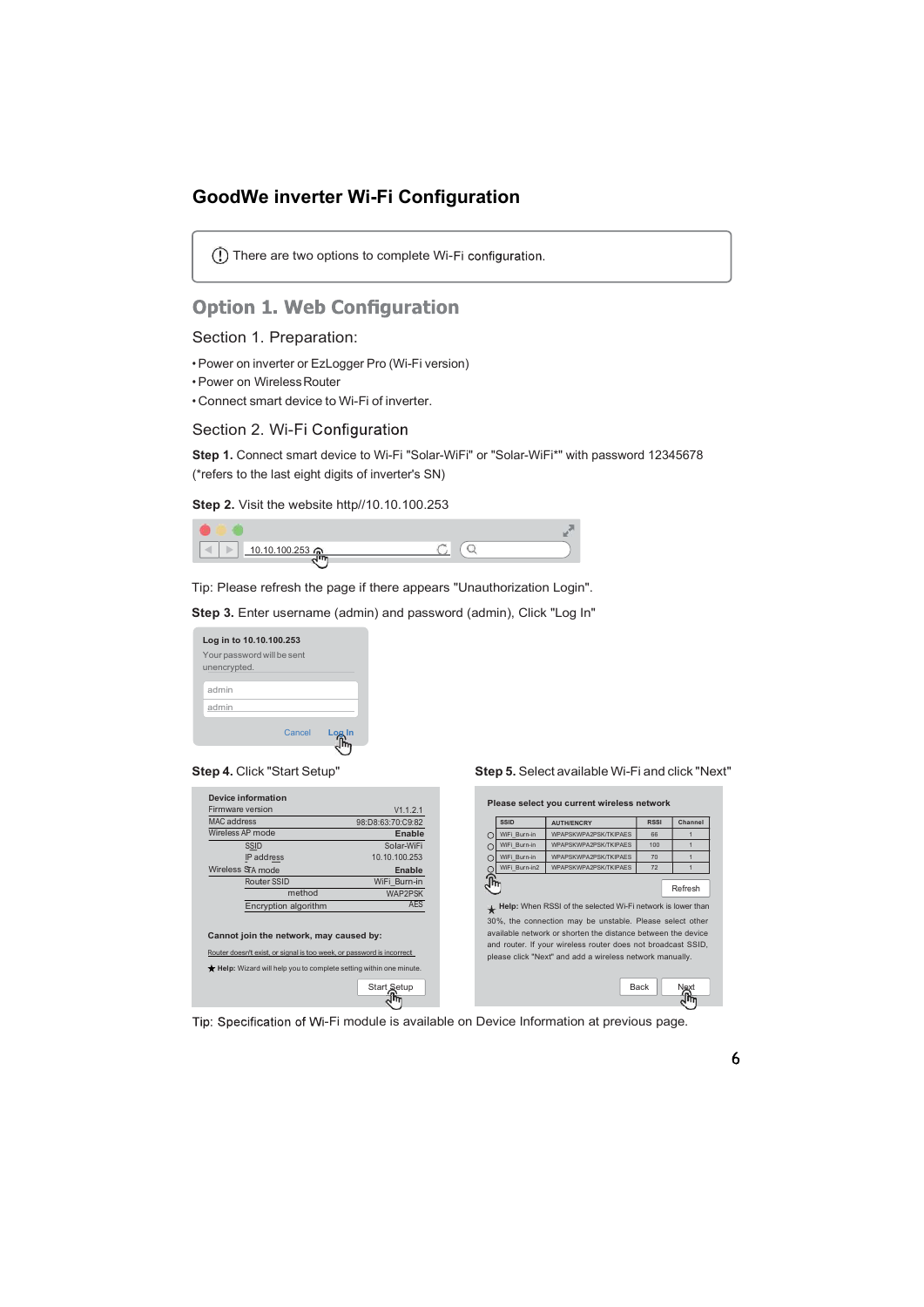### GoodWe inverter Wi-Fi Configuration

There are two options to complete Wi-

## **Option 1. Web Configuration**

### Section 1. Preparation:

- Power on inverter or EzLogger Pro (Wi-Fi version)
- Power on Wireless Router
- Connect smart device to Wi-Fi of inverter.

### Section 2. Wi-Fi Configuration

Step 1. Connect smart device to Wi-Fi "Solar-WiFi" or "Solar-WiFi\*" with password 12345678 (\*refers to the last eight digits of inverter's SN)

Step 2. Visit the website http//10.10.100.253

| - 1           |  |
|---------------|--|
| 10.10.100.253 |  |

| Log in to 10.10.100.253                    |  |
|--------------------------------------------|--|
| Your password will be sent<br>unencrypted. |  |
| admin                                      |  |
| admin                                      |  |
| Cancel                                     |  |
|                                            |  |

| Device information                                                                                               |                                |
|------------------------------------------------------------------------------------------------------------------|--------------------------------|
| Firmware version                                                                                                 | V1.1.2.1                       |
| MAC address                                                                                                      | 98:D8:63:70:C9:82              |
| Wireless AP mode                                                                                                 | Enable                         |
| <b>SSID</b>                                                                                                      | Solar-WiFi                     |
| IP address                                                                                                       | 10.10.100.253                  |
| Wireless STA mode                                                                                                | <b>Enable</b>                  |
| Router SSID<br>method                                                                                            | WiFi Burn-in<br><b>WAP2PSK</b> |
| Encryption algorithm                                                                                             | <b>AES</b>                     |
| Cannot join the network, may caused by:<br>Router doesn't exist, or signal is too week, or password is incorrect |                                |
| Help: Wizard will help you to complete setting within one minute.                                                |                                |
|                                                                                                                  | Start Setup                    |

Step 4. Click "Start Setup" Step 5. Select available Wi-Fi and click "Next"

Tip: Specification of Wi-Fi module is available on Device Information at previous page.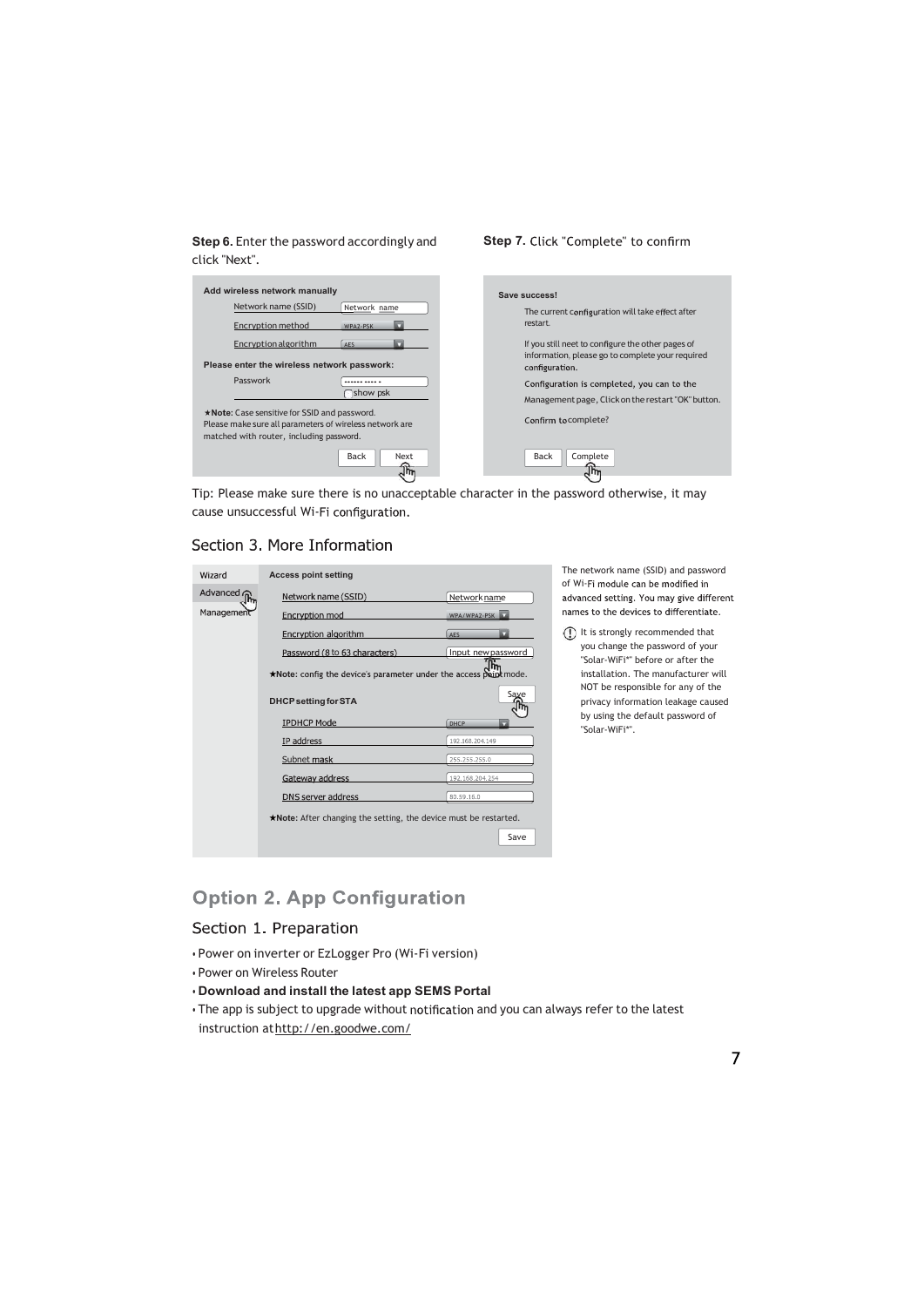Step 6. Enter the password accordingly and click "Next".

п

# П

Step 7. Click "Complete" to confirm

| Add wireless network manually                                                                                                                       | Save success!                                                      |
|-----------------------------------------------------------------------------------------------------------------------------------------------------|--------------------------------------------------------------------|
| Network name (SSID)<br>Network name                                                                                                                 | The current configuration will take effect after                   |
| Encryption method<br>WPA2-PSK                                                                                                                       | restart.                                                           |
| Encryption algorithm<br>AES                                                                                                                         | If you still neet to configure the other pages of                  |
| Please enter the wireless network passwork:                                                                                                         | information, please go to complete your required<br>configuration. |
| Passwork<br>------ ---- -                                                                                                                           | Configuration is completed, you can to the                         |
| show psk                                                                                                                                            | Management page, Click on the restart "OK" button.                 |
| *Note: Case sensitive for SSID and password.<br>Please make sure all parameters of wireless network are<br>matched with router, including password. | Confirm tocomplete?                                                |
| Back<br>Next<br>्ति<br>ज                                                                                                                            | Back<br>Complete<br>$\sqrt{2}$                                     |
|                                                                                                                                                     |                                                                    |

Tip: Please make sure there is no unacceptable character in the password otherwise, it may cause unsuccessful Wi-Fi configuration.

### Section 3. More Information

| Wizard                | <b>Access point setting</b>                                       |                    | The network name (SSID) and password<br>of Wi-Fi module can be modified in |
|-----------------------|-------------------------------------------------------------------|--------------------|----------------------------------------------------------------------------|
| Advanced <sub>∩</sub> | Network name (SSID)                                               | Networkname        | advanced setting. You may give different                                   |
| Management            | Encryption mod                                                    | WPA/WPA2-PSK       | names to the devices to differentiate.                                     |
|                       | Encryption algorithm                                              | <b>AFS</b>         | It is strongly recommended that<br>(!)                                     |
|                       | Password (8 to 63 characters)                                     | Input new password | you change the password of your<br>"Solar-WiFi*" before or after the       |
|                       | *Note: config the device's parameter under the access point mode. |                    | installation. The manufacturer will                                        |
|                       | <b>DHCP setting for STA</b>                                       | Save<br>am         | NOT be responsible for any of the<br>privacy information leakage caused    |
|                       | <b>IPDHCP Mode</b>                                                | DHCP               | by using the default password of<br>"Solar-WiFi*".                         |
|                       | IP address                                                        | 192,168,204,149    |                                                                            |
|                       | Subnet mask                                                       | 255,255,255.0      |                                                                            |
|                       | Gateway address                                                   | 192.168.204.254    |                                                                            |
|                       | DNS server address                                                | 80,59,16.0         |                                                                            |
|                       | *Note: After changing the setting, the device must be restarted.  |                    |                                                                            |
|                       |                                                                   | Save               |                                                                            |

The network name (SSID) and password of Wi-Fi module can be modified in advanced setting. You may give different names to the devices to differentiate.

### **Option 2. App Configuration**

### Section 1. Preparation

- Power on inverter or EzLogger Pro (Wi-Fi version)
- Power on Wireless Router
- Download and install the latest app SEMS Portal
- The app is subject to upgrade without notification and you can always refer to the latest instruction at http://en.goodwe.com/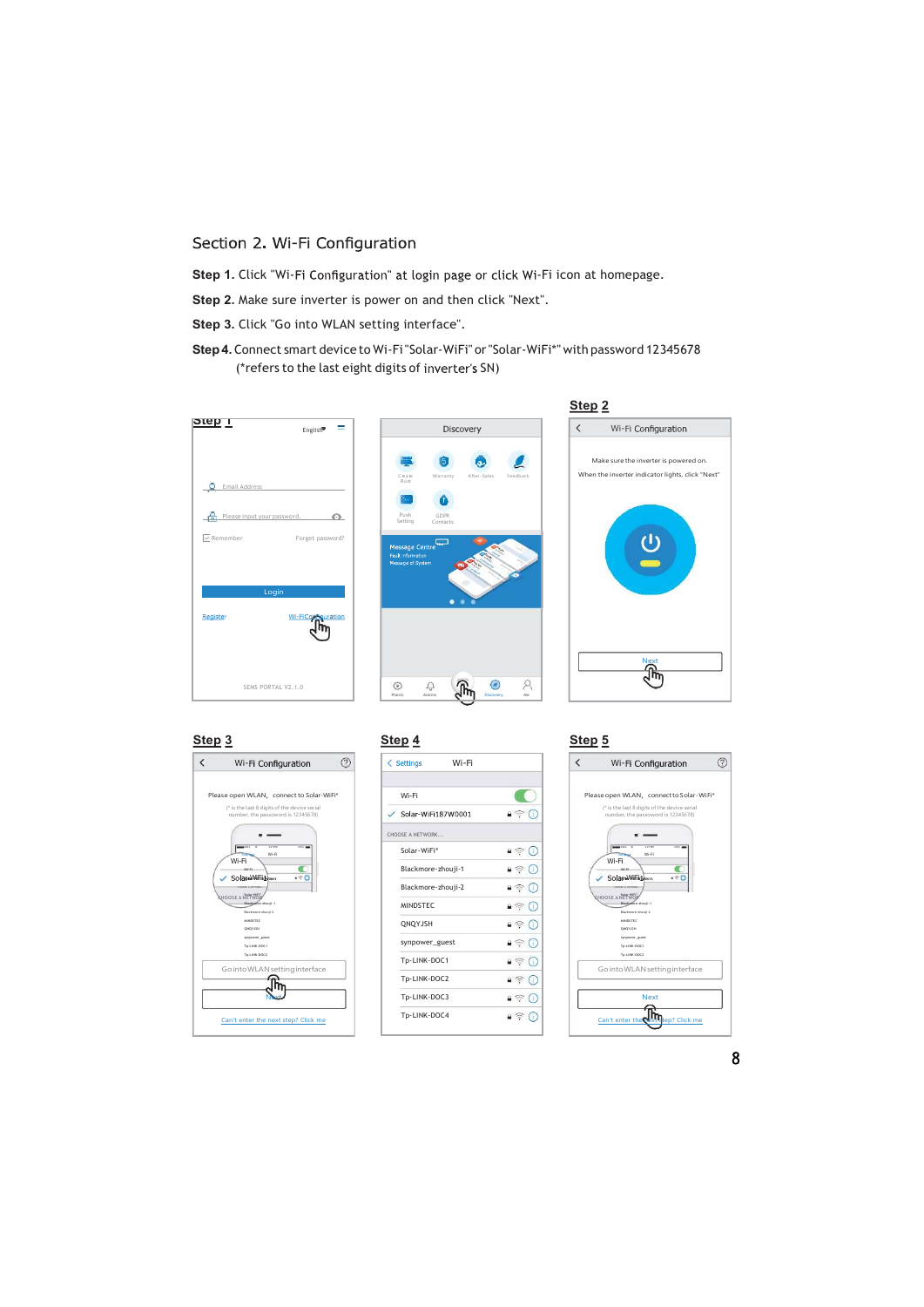### Section 2. Wi-Fi Configuration

Step 1. Click "Wi-Fi Configuration" at login page or click Wi-Fi icon at homepage.

Step 2. Make sure inverter is power on and then click "Next".

Step 3. Click "Go into WLAN setting interface".

Step 4. Connect smart device to Wi-Fi "Solar-WiFi" or "Solar-WiFi\*" with password 12345678 (\*refers to the last eight digits of inverter's SN)









| <u>) 3</u>                                                                                                                  | Step 4                                                | Step <sub>5</sub>                                                                                                                                     |
|-----------------------------------------------------------------------------------------------------------------------------|-------------------------------------------------------|-------------------------------------------------------------------------------------------------------------------------------------------------------|
| ⊘<br>Wi-Fi Configuration                                                                                                    | Wi-Fi<br>$\leq$ Settings                              | $\overline{\phantom{0}}$<br>Wi-Fi Configuration                                                                                                       |
| ase open WLAN, connect to Solar-WiFi*<br>(* is the last 8 digits of the device serial<br>number, the passoword is 12345678) | Wi-Fi<br>Solar-WiFi187W0001<br>$\checkmark$           | Please open WLAN, connect to S<br>(* is the last 8 digits of the device :<br>$\bullet \, \widehat{\mathbb{R}}$<br>Œ<br>number, the passoword is 12345 |
| <b>MARK</b> CALL<br>621 PM<br>$\frac{1}{2}$<br>Wi-Fi<br>Wi-Fi<br>MA 25                                                      | CHOOSE A NETWORK<br>Solar-WiFi*<br>Blackmore-zhouji-1 | <b>MARK</b> CACC<br>$\frac{1}{2}$<br>421797<br>∎ ⊜<br>Œ<br>W-R<br>Wi-Fi<br>$\blacksquare$<br>$\bullet$                                                |
| .90<br>Solar Wifith www.<br>PANYAR IS SERVICE<br><b>SHOOSE A NETWOR</b><br>Blackartice-zhouti-1                             | Blackmore-zhouji-2<br><b>MINDSTEC</b>                 | 490<br>Solar-WiFithcon<br>$\bullet$<br>π<br><b>DISOR A NITWORK</b><br><b><i>SHOOSE ANETWOR</i></b><br>Blackefore-zhouti-1<br>$\Box$<br>Œ              |
| Blackmore-zhouti-2<br><b>MINDSTEE</b><br>QNQYJSH<br>sympower_guest                                                          | QNQYJSH<br>synpower_guest                             | Blackmore-zhouti-2<br><b>MINDSTEC</b><br>$\blacksquare$<br>QNQYJSH<br>syrpower_guest<br>$\bullet$ $\circledcirc$                                      |
| To-LINK-DOC1<br>To-LINK-DOC2<br>Go into WLAN setting interface                                                              | Tp-LINK-DOC1                                          | To-LINK-DOC1<br>To-LINK-DOC2<br>$\blacksquare$<br>Go into WLAN setting inte                                                                           |
|                                                                                                                             | Tp-LINK-DOC2<br>Tp-LINK-DOC3                          | $4 \nabla$<br>$\Box$<br><b>Next</b><br>Œ                                                                                                              |
| Can't enter the next step? Click me                                                                                         | Tp-LINK-DOC4                                          | $\bullet$<br>Œ<br>Can't enter the pext tep? Cli                                                                                                       |

#### $\langle$  $\begin{array}{c} \text{MINDSTE} \end{array}$   $\begin{array}{c} \text{MINDSTE} \end{array}$ Tp-LINK-DOC1  $\bullet \circledast \circledast$ <br>
Tp-LINK-DOC2  $\bullet \circledast \circledast$ <br>
Tp-LINK-DOC3  $\bullet \circledast \circledast$  Next<br>
Tp-LINK-DOC4  $\bullet \circledast \circledast$  $\begin{array}{|c|c|c|c|}\n\hline\n\textbf{Wi-Fi} & \textbf{Step 5} \\
\hline\n\end{array}\n\quad\n\begin{array}{|c|c|c|}\n\hline\n\textbf{Step 4} & \textbf{Step 5} \\
\hline\n\end{array}\n\quad\n\begin{array}{|c|c|c|}\n\hline\n\textbf{Step 4} & \textbf{Step 5} \\
\hline\n\end{array}\n\quad\n\begin{array}{|c|c|c|}\n\hline\n\textbf{Step 5} & \textbf{Step 6} \\
\hline\n\end{array}\n\quad\n\begin{array}{|c|c|c|c|}\n\hline\n\$ Blackmore-zhouji-1 MINDSTEC<br>ΟΝΩΥΣΗΝ<br>ΟΝΩΥΣΗΝ synpower\_guest<br>Tp-LINK-DOC1 Tp-LINK-DOC2 Go into WLAN setting interface Next Can't enter the **Next step?** Click me CHOOSE A NETWORK CHOOSE A NETWORK A CHOOSE A METAL CHOOSE A METAL CHOOSE A METAL CHOOSE A METAL CHOOSE A METAL CHOOSE A METAL CHOOSE A METAL CHOOSE A METAL CHOOSE A METAL CHOOSE A METAL CHOOSE A METAL CHOOSE A METAL CHOOSE A METAL CHOOSE A **STERWISH AND STERN ASSESSMENT AND RESIDENCE AND RELEASED FOR STERN AND STERN ASSESSMENT AND RELEASED FOR STERN AND STERN ASSESSMENT AND RELEASED FOR STERN AND RELEASED FOR STERN AND RELEASED FOR STERN AND RELEASED FOR STE** date with the contract of the contract of the contract of the contract of the contract of the contract of the contract of the contract of the contract of the contract of the contract of the contract of the contract of the -W or and the contract of the contract of the contract of the contract of the contract of the contract of the contract of the contract of the contract of the contract of the contract of the contract of the contract of the con  $\frac{1}{2}$  is the contract of  $\frac{1}{2}$  in the contract of  $\frac{1}{2}$  is the contract of  $\frac{1}{2}$  is the contract of  $\frac{1}{2}$  is the contract of  $\frac{1}{2}$  is the contract of  $\frac{1}{2}$  is the contract of  $\frac{1}{2}$  is the c  $\begin{array}{ccc} \text{Weyl} & \text{Weyl} \ \text{Weyl} & \text{Weyl} \ \text{Weyl} & \text{Weyl} \ \text{Weyl} & \text{Weyl} \ \text{Weyl} & \text{Weyl} \ \text{Weyl} & \text{Weyl} \ \text{Weyl} & \text{Weyl} \ \text{Weyl} & \text{Weyl} \ \text{Weyl} & \text{Weyl} \ \text{Weyl} & \text{Weyl} \ \text{Weyl} & \text{Weyl} \ \text{Weyl} & \text{Weyl} \ \text{Weyl} & \text{Weyl} \ \text{Wey$ i CMCC 4:21 PM 100%  $W - F$ Wi-Fi i *i* in the set of the set of the set of the set of the set of the set of the set of the set of the set of the set of the set of the set of the set of the set of the set of the set of the set of the set of the set of the Please open WLAN connect to Solar-WiFi<br>
("is the last 8 digits of the device serial<br>
number, the passewords 12345678)<br>  $\overbrace{\hspace{2cm}}$ (\* is the last 8 digits of the device serial<br>number, the passoword is 12345678) evice serial<br>|2345678)<br>|-3ic 5<sup>s</sup> erial<br>178) — Indonésia de la contradición de la contradición de la contradición de la contradición de la contradició<br>178) — Indonésia de la contradición de la contradición de la contradición de la contradición de la contra rial<br>18) — Indian State (1892)<br>18) — Indian State (1892)  $\Box$ **Wi-Fi Configuration**  $\bigotimes$ <br>
pen WLAN, connect to Solar-WiFi<sup>\*</sup><br>
the last 8 digits of the device serial